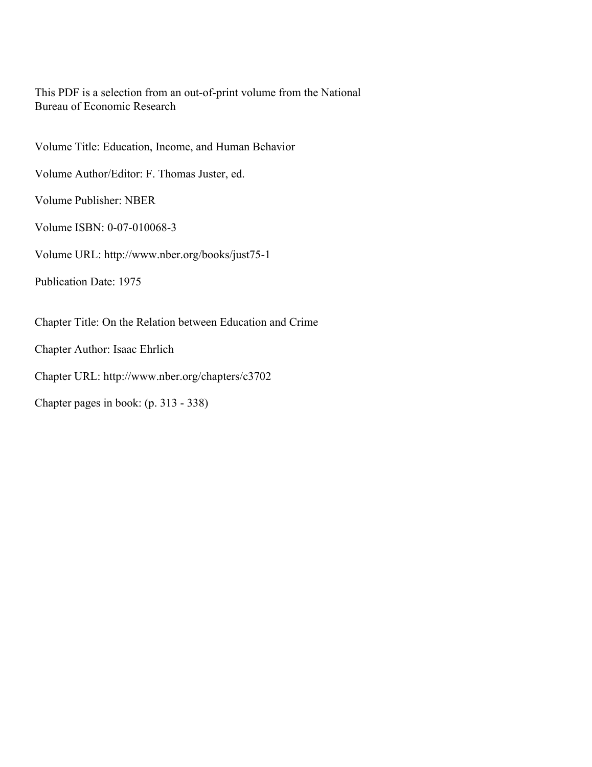This PDF is a selection from an out-of-print volume from the National Bureau of Economic Research

Volume Title: Education, Income, and Human Behavior

Volume Author/Editor: F. Thomas Juster, ed.

Volume Publisher: NBER

Volume ISBN: 0-07-010068-3

Volume URL: http://www.nber.org/books/just75-1

Publication Date: 1975

Chapter Title: On the Relation between Education and Crime

Chapter Author: Isaac Ehrlich

Chapter URL: http://www.nber.org/chapters/c3702

Chapter pages in book: (p. 313 - 338)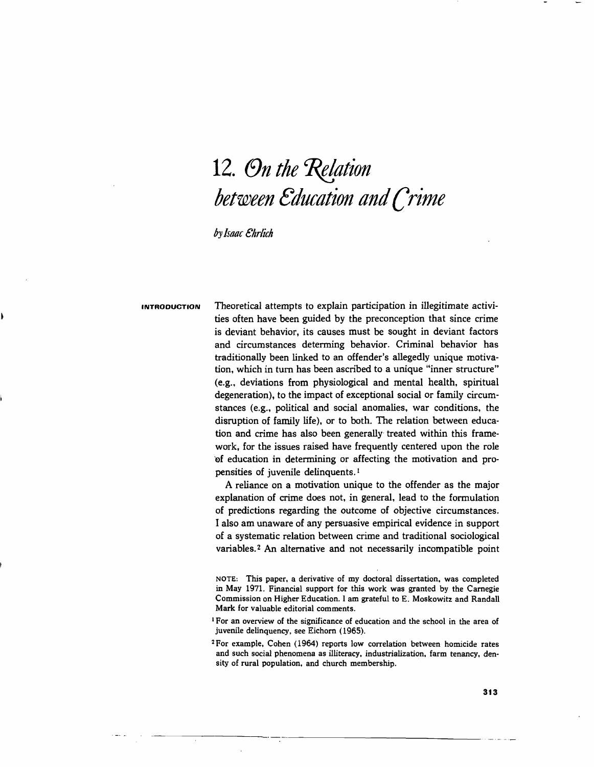## 12. On the Relation between Education and Crime

by Isaac Ehrlich

INTRODUCTiON Theoretical attempts to explain participation in illegitimate activities often have been guided by the preconception that since crime is deviant behavior, its causes must be sought in deviant factors and circumstances determing behavior. Criminal behavior has traditionally been linked to an offender's allegedly unique motivation, which in turn has been ascribed to a unique "inner structure" (e.g., deviations from physiological and mental health, spiritual degeneration), to the impact of exceptional social or family circumstances (e.g., political and social anomalies, war conditions, the disruption of family life), or to both. The relation between education and crime has also been generally treated within this framework, for the issues raised have frequently centered upon the role 'of education in determining or affecting the motivation and propensities of juvenile delinquents.'

> A reliance on a motivation unique to the offender as the major explanation of crime does not, in general, lead to the formulation of predictions regarding the outcome of objective circumstances. I also am unaware of any persuasive empirical evidence in support of a systematic relation between crime and traditional sociological variables.2 An alternative and not necessarily incompatible point

NOTE: This paper, a derivative of my doctoral dissertation, was completed in May 1971. Financial support for this work was granted by the Carnegie Commission on Higher Education. I am grateful to E. Moskowitz and Randall Mark for valuable editorial comments.

<sup>&#</sup>x27;For an overview of the significance of education and the school in the area of juvenile delinquency, see Eichorn (1965).

<sup>2</sup>For example, Cohen (1964) reports low correlation between homicide rates and such social phenomena as illiteracy, industrialization, farm tenancy, density of rural population, and church membership.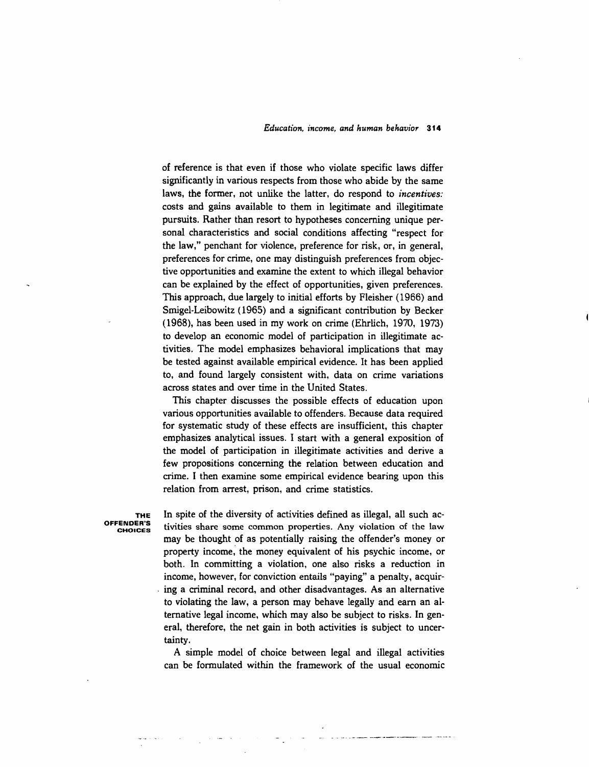of reference is that even if those who violate specific laws differ significantly in various respects from those who abide by the same laws, the former, not unlike the latter, do respond to *incentives:* costs and gains available to them in legitimate and illegitimate pursuits. Rather than resort to hypotheses concerning unique personal characteristics and social conditions affecting "respect for the law," penchant for violence, preference for risk, or, in general, preferences for crime, one may distinguish preferences from objective opportunities and examine the extent to which illegal behavior can be explained by the effect of opportunities, given preferences. This approach, due largely to initial efforts by Fleisher (1966) and Smigel-Leibowitz (1965) and a significant contribution by Becker (1968), has been used in my work on crime (Ehrlich, 1970, 1973) to develop an economic model of participation in illegitimate activities. The model emphasizes behavioral implications that may be tested against available empirical evidence. It has been applied to, and found largely consistent with, data on crime variations across states and over time in the United States.

This chapter discusses the possible effects of education upon various opportunities available to offenders. Because data required for systematic study of these effects are insufficient, this chapter emphasizes analytical issues. I start with a general exposition of the model of participation in illegitimate activities and derive a few propositions concerning the relation between education and crime. I then examine some empirical evidence bearing upon this relation from arrest, prison, and crime statistics.

**CHOICES** 

THE In spite of the diversity of activities defined as illegal, all such ac-<br>
OFFENDER'S tivities share some common properties. Any violation of the law may be thought of as potentially raising the offender's money or property income, the money equivalent of his psychic income, or both. In committing a violation, one also risks a reduction in income, however, for conviction entails "paying" a penalty, acquiring a criminal record, and other disadvantages. As an alternative to violating the law, a person may behave legally and earn an alternative legal income, which may also be subject to risks. In general, therefore, the net gain in both activities is subject to uncertainty.

> A simple model of choice between legal and illegal activities can be formulated within the framework of the usual economic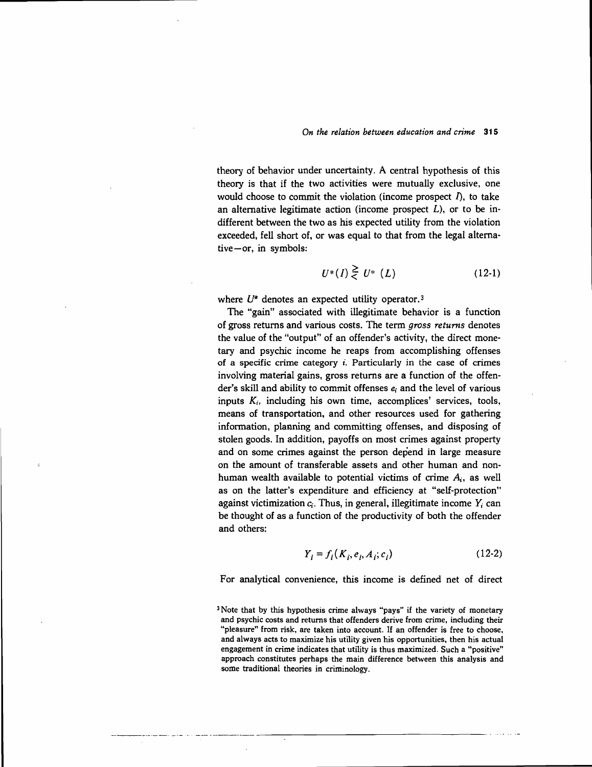theory of behavior under uncertainty. A central hypothesis of this theory is that if the two activities were mutually exclusive, one would choose to commit the violation (income prospect  $\Gamma$ ), to take an alternative legitimate action (income prospect  $L$ ), or to be indifferent between the two as his expected utility from the violation exceeded, fell short of, or was equal to that from the legal alternative—or, in symbols:

$$
U^*(I) \stackrel{\geq}{\leq} U^* (L) \tag{12-1}
$$

where  $U^*$  denotes an expected utility operator.<sup>3</sup>

The "gain" associated with illegitimate behavior is a function of gross returns and various costs. The term gross returns denotes the value of the "output" of an offender's activity, the direct monetary and psychic income he reaps from accomplishing offenses of a specific crime category  $i$ . Particularly in the case of crimes involving material gains, gross returns are a function of the offender's skill and ability to commit offenses  $e_i$  and the level of various inputs  $K_i$ , including his own time, accomplices' services, tools, means of transportation, and other resources used for gathering information, planning and committing offenses, and disposing of stolen goods. In addition, payoffs on most crimes against property and on some crimes against the person depend in large measure on the amount of transferable assets and other human and nonhuman wealth available to potential victims of crime  $A_i$ , as well as on the latter's expenditure and efficiency at "self-protection" against victimization  $c_i$ . Thus, in general, illegitimate income  $Y_i$  can be thought of as a function of the productivity of both the offender and others:

$$
Y_i = f_i(K_i, e_i, A_i; c_i) \tag{12-2}
$$

For analytical convenience, this income is defined net of direct

<sup>&</sup>lt;sup>3</sup> Note that by this hypothesis crime always "pays" if the variety of monetary and psychic costs and returns that offenders derive from crime, including their "pleasure" from risk, are taken into account. If an offender is free to choose, and always acts to maximize his utility given his opportunities, then his actual engagement in crime indicates that utility is thus maximized. Such a "positive" approach constitutes perhaps the main difference between this analysis and some traditional theories in criminology.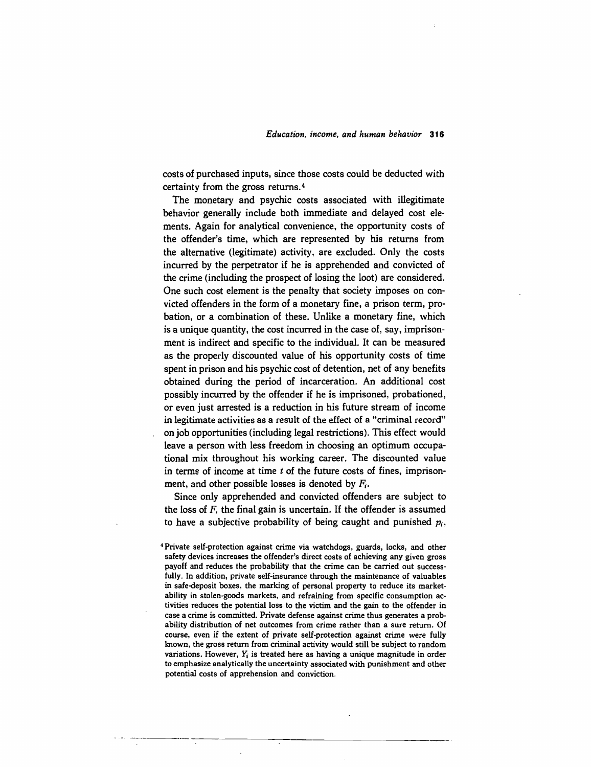costs of purchased inputs, since those costs could be deducted with certainty from the gross returns.4

The monetary and psychic costs associated with illegitimate behavior generally include both immediate and delayed cost elements. Again for analytical convenience, the opportunity costs of the offender's time, which are represented by his returns from the alternative (legitimate) activity, are excluded. Only the costs incurred by the perpetrator if he is apprehended and convicted of the crime (including the prospect of losing the loot) are considered. One such cost element is the penalty that society imposes on convicted offenders in the form of a monetary fine, a prison term, probation, or a combination of these. Unlike a monetary fine, which is a unique quantity, the cost incurred in the case of, say, imprisonment is indirect and specific to the individual. It can be measured as the properly discounted value of his opportunity costs of time spent in prison and his psychic cost of detention, net of any benefits obtained during the period of incarceration. An additional cost possibly incurred by the offender if he is imprisoned, probationed, or even just arrested is a reduction in his future stream of income in legitimate activities as a result of the effect of a "criminal record" on job opportunities (including legal restrictions). This effect would leave a person with less freedom in choosing an optimum occupational mix throughout his working career. The discounted value in terms of income at time  $t$  of the future costs of fines, imprisonment, and other possible losses is denoted by  $F_i$ .

Since only apprehended and convicted offenders are subject to the loss of  $F$ , the final gain is uncertain. If the offender is assumed to have a subjective probability of being caught and punished  $p_i$ ,

4Private self-protection against crime via watchdogs, guards, locks, and other safety devices increases the offender's direct costs of achieving any given gross payoff and reduces the probability that the crime can be carried out successfully. In addition, private self-insurance through the maintenance of valuables in safe-deposit boxes, the marking of personal property to reduce its marketability in stolen-goods markets, and refraining from specific consumption activities reduces the potential loss to the victim and the gain to the offender in case a crime is committed. Private defense against crime thus generates a probability distribution of net outcomes from crime rather than a sure return. Of course, even if the extent of private self-protection against crime were fully known, the gross return from criminal activity would still be subject to random variations. However,  $Y_i$  is treated here as having a unique magnitude in order to emphasize analytically the uncertainty associated with punishment and other potential costs of apprehension and conviction.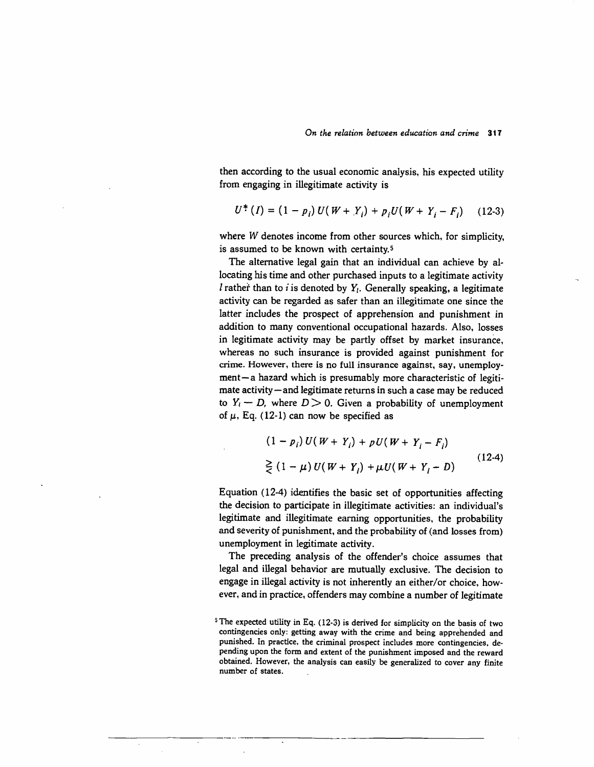then according to the usual economic analysis, his expected utility from engaging in illegitimate activity is

$$
U^* (I) = (1 - p_i) U(W + Y_i) + p_i U(W + Y_i - F_i) \quad (12-3)
$$

where W denotes income from other sources which, for simplicity, is assumed to be known with certainty.5

The alternative legal gain that an individual can achieve by allocating his time and other purchased inputs to a legitimate activity *l* rather than to *i* is denoted by  $Y_i$ . Generally speaking, a legitimate activity can be regarded as safer than an illegitimate one since the latter includes the prospect of apprehension and punishment in addition to many conventional occupational hazards. Also, losses in legitimate activity may be partly offset by market insurance, whereas no such insurance is provided against punishment for crime. However, there is no full insurance against, say, unemployment-a hazard which is presumably more characteristic of legitimate activity—and legitimate returns in such a case may be reduced to  $Y_i - D$ , where  $D > 0$ . Given a probability of unemployment of  $\mu$ , Eq. (12-1) can now be specified as

$$
(1 - p_i) U(W + Y_i) + pU(W + Y_i - F_i)
$$
  
\n
$$
\geq (1 - \mu) U(W + Y_i) + \mu U(W + Y_i - D)
$$
 (12-4)

Equation (12-4) identifies the basic set of opportunities affecting the decision to participate in illegitimate activities: an individual's legitimate and illegitimate earning opportunities, the probability and severity of punishment, and the probability of (and losses from) unemployment in legitimate activity.

The preceding analysis of the offender's choice assumes that legal and illegal behavior are mutually exclusive. The decision to engage in illegal activity is not inherently an either/or choice, however, and in practice, offenders may combine a number of legitimate

<sup>&</sup>lt;sup>5</sup>The expected utility in Eq. (12-3) is derived for simplicity on the basis of two contingencies only: getting away with the crime and being apprehended and punished. In practice, the criminal prospect includes more contingencies, depending upon the form and extent of the punishment imposed and the reward obtained. However, the analysis can easily be generalized to cover any finite number of states.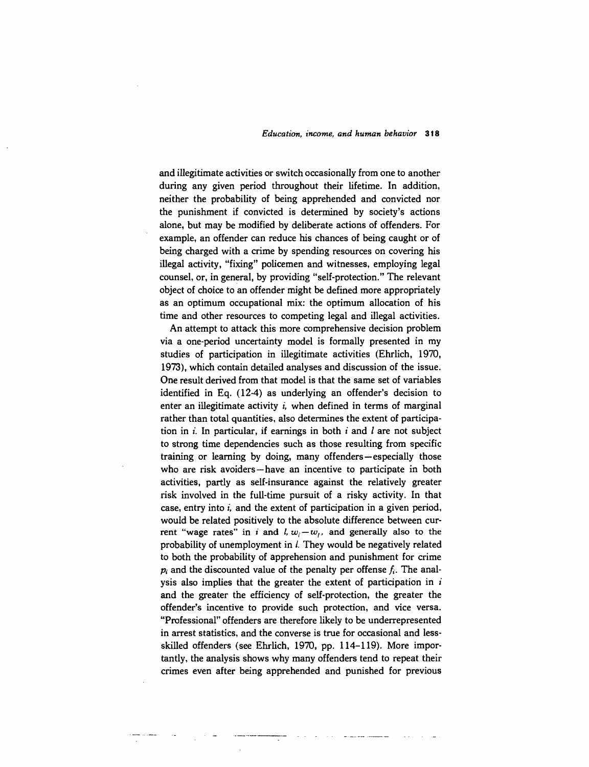and illegitimate activities or switch occasionally from one to another during any given period throughout their lifetime. In addition, neither the probability of being apprehended and convicted nor the punishment if convicted is determined by society's actions alone, but may be modified by deliberate actions of offenders. For example, an offender can reduce his chances of being caught or of being charged with a crime by spending resources on covering his illegal activity, "fixing" policemen and witnesses, employing legal counsel, or, in general, by providing "self-protection." The relevant object of choice to an offender might be defined more appropriately as an optimum occupational mix: the optimum allocation of his time and other resources to competing legal and illegal activities.

An attempt to attack this more comprehensive decision problem via a one-period uncertainty model is formally presented in my studies of participation in illegitimate activities (Ehrlich, 1970, 1973), which contain detailed analyses and discussion of the issue. One result derived from that model is that the same set of variables identified in Eq. (12-4) as underlying an offender's decision to enter an illegitimate activity  $i$ , when defined in terms of marginal rather than total quantities, also determines the extent of participation in *i*. In particular, if earnings in both  $i$  and  $l$  are not subject to strong time dependencies such as those resulting from specific training or learning by doing, many offenders —especially those who are risk avoiders—have an incentive to participate in both activities, partly as self-insurance against the relatively greater risk involved in the full-time pursuit of a risky activity. In that case, entry into  $i$ , and the extent of participation in a given period, would be related positively to the absolute difference between current "wage rates" in i and  $l, w_i - w_i$ , and generally also to the probability of unemployment in  $l$ . They would be negatively related to both the probability of apprehension and punishment for crime  $p_i$  and the discounted value of the penalty per offense  $f_i$ . The analysis also implies that the greater the extent of participation in  $i$ and the greater the efficiency of self-protection, the greater the offender's incentive to provide such protection, and vice versa. "Professional" offenders are therefore likely to be underrepresented in arrest statistics, and the converse is true for occasional and lessskilled offenders (see Ehrlich, 1970, pp. 114—119). More importantly, the analysis shows why many offenders tend to repeat their crimes even after being apprehended and punished for previous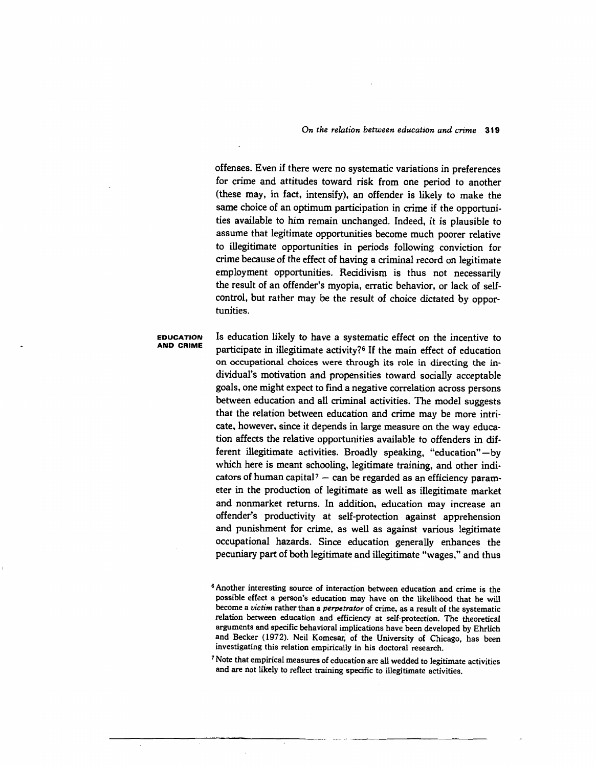offenses. Even if there were no systematic variations in preferences for crime and attitudes toward risk from one period to another (these may, in fact, intensify), an offender is likely to make the same choice of an optimum participation in crime if the opportunities available to him remain unchanged. Indeed, it is plausible to assume that legitimate opportunities become much poorer relative to illegitimate opportunities in periods following conviction for crime because of the effect of having a criminal record on legitimate employment opportunities. Recidivism is thus not necessarily the result of an offender's myopia, erratic behavior, or lack of selfcontrol, but rather may be the result of choice dictated by opportunities.

EDUCATION Is education likely to have a systematic effect on the incentive to  $APD$  crime participate in illegitimate activity?<sup>6</sup> If the main effect of education on occupational choices were through its role in directing the individual's motivation and propensities toward socially acceptable goals, one might expect to find a negative correlation across persons between education and all criminal activities. The model suggests that the relation between education and crime may be more intricate, however, since it depends in large measure on the way education affects the relative opportunities available to offenders in different illegitimate activities. Broadly speaking, "education" —by which here is meant schooling, legitimate training, and other indicators of human capital<sup>7</sup>  $-$  can be regarded as an efficiency parameter in the production of legitimate as well as illegitimate market and nonmarket returns. In addition, education may increase an offender's productivity at self-protection against apprehension and punishment for crime, as well as against various legitimate occupational hazards. Since education generally enhances the pecuniary part of both legitimate and illegitimate "wages," and thus

 $\frac{1}{2}$  Note that empirical measures of education are all wedded to legitimate activities and are not likely to reflect training specific to illegitimate activities.

<sup>6</sup>Another interesting source of interaction between education and crime is the possible effect a person's education may have on the likelihood that he will become a victim rather than a perpetrator of crime, as a result of the systematic relation between education and efficiency at sell-protection. The theoretical arguments and specific behavioral implications have been developed by Ehrlich and Becker (1972). Neil Komesar, of the University of Chicago, has been investigating this relation empirically in his doctoral research.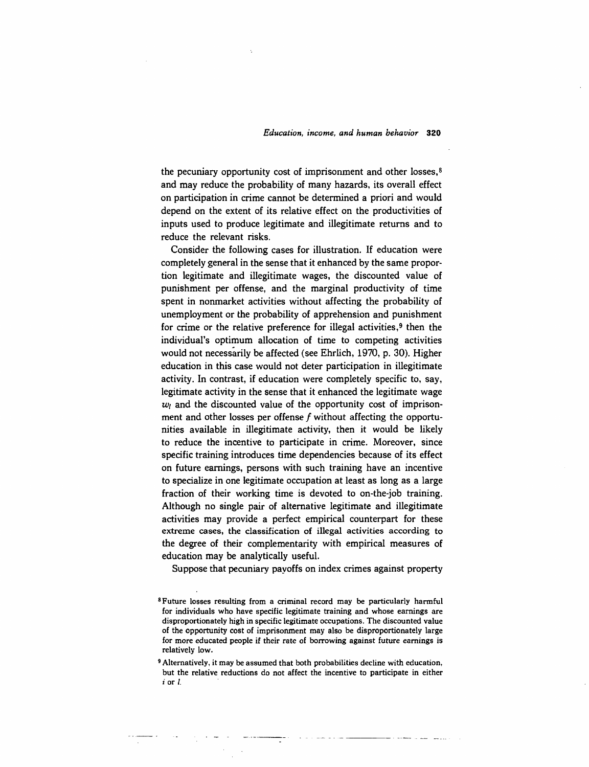the pecuniary opportunity cost of imprisonment and other losses,<sup>8</sup> and may reduce the probability of many hazards, its overall effect on participation in crime cannot be determined a priori and would depend on the extent of its relative effect on the productivities of inputs used to produce legitimate and illegitimate returns and to reduce the relevant risks.

Consider the following cases for illustration. If education were completely general in the sense that it enhanced by the same proportion legitimate and illegitimate wages, the discounted value of punishment per offense, and the marginal productivity of time spent in nonmarket activities without affecting the probability of unemployment or the probability of apprehension and punishment for crime or the relative preference for illegal activities, $9$  then the individual's optimum allocation of time to competing activities would not necessarily be affected (see Ehrlich, 1970, p. 30). Higher education in this case would not deter participation in illegitimate activity. In contrast, if education were completely specific to, say, legitimate activity in the sense that it enhanced the legitimate wage  $w_1$  and the discounted value of the opportunity cost of imprisonment and other losses per offense f without affecting the opportunities available in illegitimate activity, then it would be likely to reduce the incentive to participate in crime. Moreover, since specific training introduces time dependencies because of its effect on future earnings, persons with such training have an incentive to specialize in one legitimate occupation at least as long as a large fraction of their working time is devoted to on-the-job training. Although no single pair of alternative legitimate and illegitimate activities may provide a perfect empirical counterpart for these extreme cases, the classification of illegal activities according to the degree of their complementarity with empirical measures of education may be analytically useful.

Suppose that pecuniary payoffs on index crimes against property

<sup>8</sup>Future losses resulting from a criminal record may be particularly harmful for individuals who have specific legitimate training and whose earnings are disproportionately high in specific legitimate occupations. The discounted value of the opportunity cost of imprisonment may also be disproportionately large for more educated people if their rate of borrowing against future earnings is relatively low.

<sup>9</sup>Alternatively, it may be assumed that both probabilities decline with education, but the relative reductions do not affect the incentive to participate in either i or 1.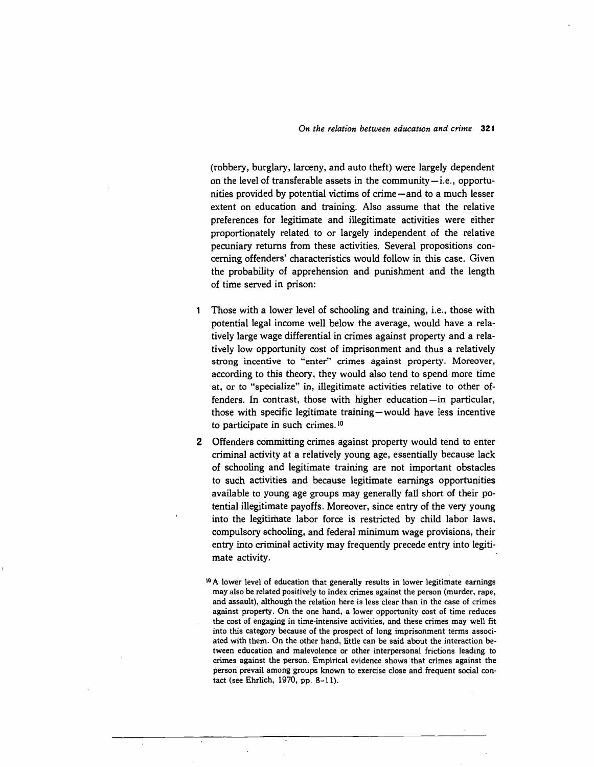(robbery, burglary, larceny, and auto theft) were largely dependent on the level of transferable assets in the community—i.e., opportunities provided by potential victims of crime — and to a much lesser extent on education and training. Also assume that the relative preferences for legitimate and illegitimate activities were either proportionately related to or largely independent of the relative pecuniary returns from these activities. Several propositions concerning offenders' characteristics would follow in this case. Given the probability of apprehension and punishment and the length of time served in prison:

- $\mathbf{1}$ Those with a lower level of schooling and training, i.e., those with potential legal income well below the average, would have a relatively large wage differential in crimes against property and a relatively low opportunity cost of imprisonment and thus a relatively strong incentive to "enter" crimes against property. Moreover, according to this theory, they would also tend to spend more time at, or to "specialize" in, illegitimate activities relative to other offenders. In contrast, those with higher education —in particular, those with specific legitimate training—would have less incentive to participate in such crimes. 10
- 2 Offenders committing crimes against property would tend to enter criminal activity at a relatively young age, essentially because lack of schooling and legitimate training are not important obstacles to such activities and because legitimate earnings opportunities available to young age groups may generally fall short of their potential illegitimate payoffs. Moreover, since entry of the very young into the legitimate labor force is restricted by child labor laws, compulsory schooling, and federal minimum wage provisions, their entry into criminal activity may frequently precede entry into legitimate activity.
	- $10$ A lower level of education that generally results in lower legitimate earnings may also be related positively to index crimes against the person (murder, rape, and assault), although the relation here is less clear than in the case of crimes against property. On the one hand, a lower opportunity cost of time reduces the cost of engaging in time-intensive activities, and these crimes may well fit into this category because of the prospect of long imprisonment terms associated with them. On the other hand, little can be said about the interaction between education and malevolence or other interpersonal frictions leading to crimes against the person. Empirical evidence shows that crimes against the person prevail among groups known to exercise close and frequent social contact (see Ehrlich, 1970, pp. 8—11).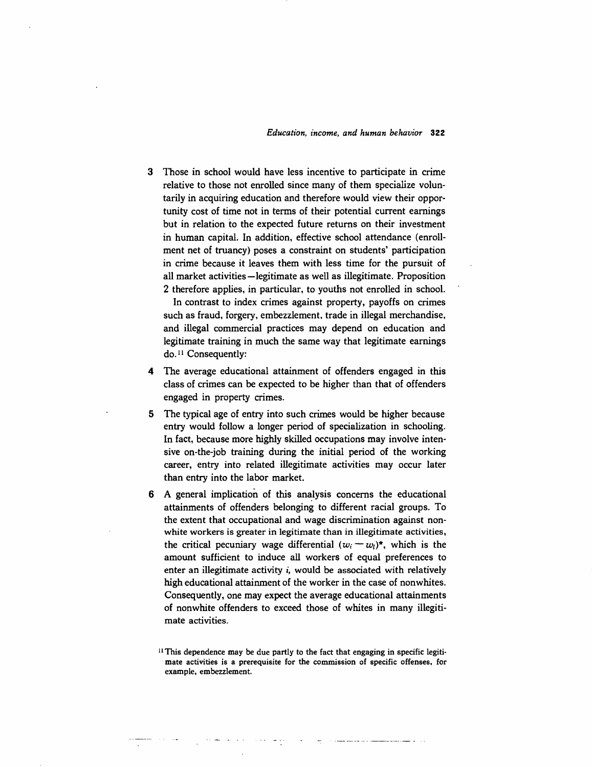3 Those in school would have less incentive to participate in crime relative to those not enrolled since many of them specialize voluntarily in acquiring education and therefore would view their opportunity cost of time not in terms of their potential current earnings but in relation to the expected future returns on their investment in human capital. In addition, effective school attendance (enrollment net of truancy) poses a constraint on students' participation in crime because it leaves them with less time for the pursuit of all market activities —legitimate as well as illegitimate. Proposition 2 therefore applies, in particular, to youths not enrolled in school.

In contrast to index crimes against property, payoffs on crimes such as fraud, forgery, embezzlement, trade in illegal merchandise, and illegal commercial practices may depend on education and legitimate training in much the same way that legitimate earnings do.1' Consequently:

- 4 The average educational attainment of offenders engaged in this class of crimes can be expected to be higher than that of offenders engaged in property crimes.
- 5 The typical age of entry into such crimes would be higher because entry would follow a longer period of specialization in schooling. In fact, because more highly skilled occupations may involve intensive on-the-job training during the initial period of the working career, entry into related illegitimate activities may occur later than entry into the labor market.
- 6 A general implication of this analysis concerns the educational attainments of offenders belonging to different racial groups. To the extent that occupational and wage discrimination against nonwhite workers is greater in legitimate than in illegitimate activities, the critical pecuniary wage differential  $(w_i - w_i)^*$ , which is the amount sufficient to induce all workers of equal preferences to enter an illegitimate activity  $i$ , would be associated with relatively high educational attainment of the worker in the case of nonwhites. Consequently, one may expect the average educational attainments of nonwhite offenders to exceed those of whites in many illegitimate activities.

<sup>&</sup>lt;sup>11</sup> This dependence may be due partly to the fact that engaging in specific legitimate activities is a prerequisite for the commission of specific offenses, for example, embezzlement.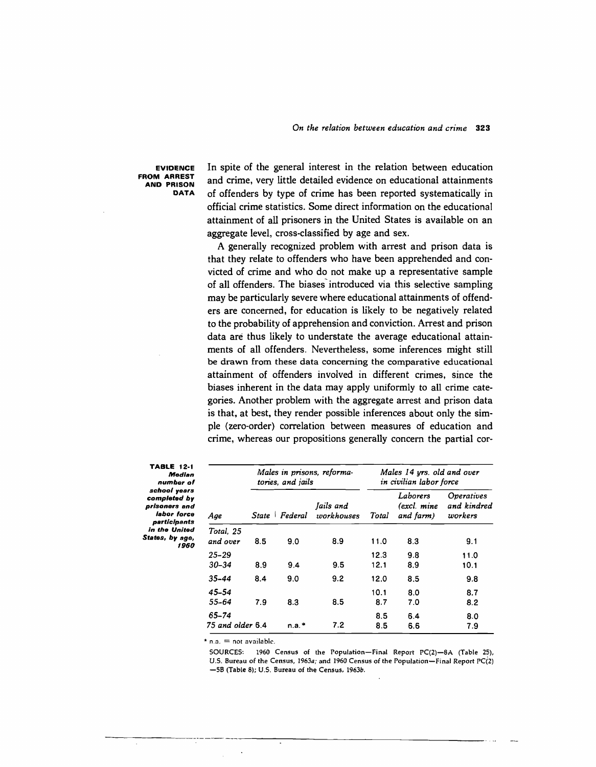EVIDENCE FROM ARREST AND PRISON<br>DATA

in the States, i DATA of offenders by type of crime has been reported systematically in In spite of the general interest in the relation between education and crime, very little detailed evidence on educational attainments official crime statistics. Some direct information on the educational attainment of all prisoners in the United States is available on an aggregate level, cross-classified by age and sex.

A generally recognized problem with arrest and prison data is that they relate to offenders who have been apprehended and convicted of crime and who do not make up a representative sample of all offenders. The biases introduced via this selective sampling may be particularly severe where educational attainments of offenders are concerned, for education is likely to be negatively related to the probability of apprehension and conviction. Arrest and prison data are thus likely to understate the average educational attainments of all offenders. Nevertheless, some inferences might still be drawn from these data concerning the comparative educational attainment of offenders involved in different crimes, since the biases inherent in the data may apply uniformly to all crime categories. Another problem with the aggregate arrest and prison data is that, at best, they render possible inferences about only the simple (zero-order) correlation between measures of education and crime, whereas our propositions generally concern the partial cor-

|                               |     | tories, and jails | Males in prisons, reforma- | Males 14 yrs. old and over<br>in civilian labor force |                                      |                                      |  |
|-------------------------------|-----|-------------------|----------------------------|-------------------------------------------------------|--------------------------------------|--------------------------------------|--|
| Age                           |     | State   Federal   | Jails and<br>workhouses    | Total                                                 | Laborers<br>(excl. mine<br>and farm) | Operatives<br>and kindred<br>workers |  |
| Total, 25<br>and over         | 8.5 | 9.0               | 8.9                        | 11.0                                                  | 8.3                                  | 9.1                                  |  |
| $25 - 29$<br>$30 - 34$        | 8.9 | 9.4               | 9.5                        | 12.3<br>12.1                                          | 9.8<br>8.9                           | 11.0<br>10.1                         |  |
| $35 - 44$                     | 8.4 | 9.0               | 9.2                        | 12.0                                                  | 8.5                                  | 9.8                                  |  |
| $45 - 54$<br>$55 - 64$        | 7.9 | 8.3               | 8.5                        | 10.1<br>8.7                                           | 8.0<br>7.0                           | 8.7<br>8.2                           |  |
| $65 - 74$<br>75 and older 6.4 |     | $n.a.*$           | 7.2                        | 8.5<br>8.5                                            | 6.4<br>6.6                           | 8.0<br>7.9                           |  |

SOURCES: 1960 Census of the Population—Final Report PC(2)—8A (Table 25), U.S. Bureau of the Census, 1963a; and 1960 Census of the Population—Final Report PC(2) —5B (Table 8); U.S. Bureau of the Census, l963b.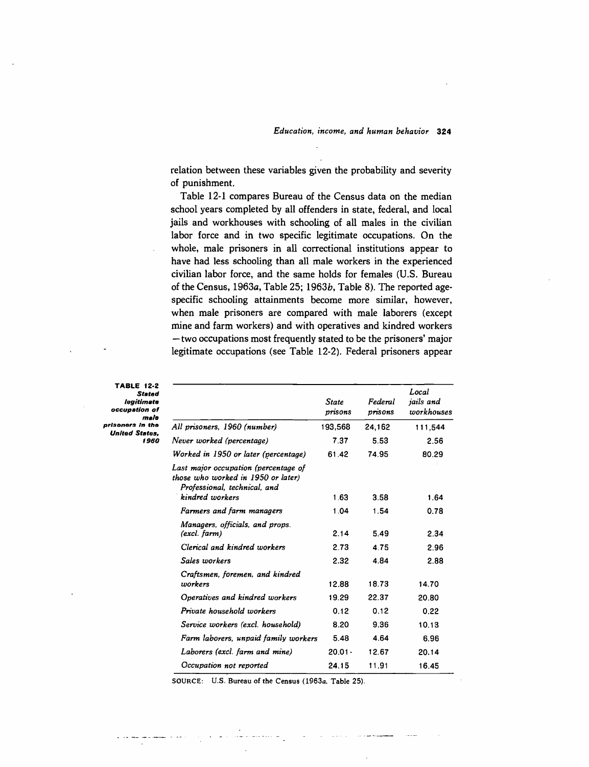relation between these variables given the probability and severity of punishment.

Table 12-1 compares Bureau of the Census data on the median school years completed by all offenders in state, federal, and local jails and workhouses with schooling of all males in the civilian labor force and in two specific legitimate occupations. On the whole, male prisoners in all correctional institutions appear to have had less schooling than all male workers in the experienced civilian labor force, and the same holds for females (U.S. Bureau of the Census, 1963a, Table 25; 1963b, Table 8). The reported agespecific schooling attainments become more similar, however, when male prisoners are compared with male laborers (except mine and farm workers) and with operatives and kindred workers — two occupations most frequently stated to be the prisoners' major legitimate occupations (see Table 12-2). Federal prisoners appear

TABLE 12-2 Stated legitimate occupation of male prisoners in the United States, 1960

|                                                                                                                               | <b>State</b><br>prisons | Federal<br>prisons | Local<br>jails and<br>workhouses |
|-------------------------------------------------------------------------------------------------------------------------------|-------------------------|--------------------|----------------------------------|
| All prisoners, 1960 (number)                                                                                                  | 193,568                 | 24,162             | 111,544                          |
| Never worked (percentage)                                                                                                     | 7.37                    | 5.53               | 2.56                             |
| Worked in 1950 or later (percentage)                                                                                          | 61.42                   | 74.95              | 80.29                            |
| Last major occupation (percentage of<br>those who worked in 1950 or later)<br>Professional, technical, and<br>kindred workers | 1.63                    | 3.58               | 1.64                             |
| Farmers and farm managers                                                                                                     | 1.04                    | 1.54               | 0.78                             |
| Managers, officials, and props.<br>(excl. farm)<br>Clerical and kindred workers                                               | 2.14<br>2.73            | 5.49<br>4.75       | 2.34<br>2.96                     |
| Sales workers                                                                                                                 | 2.32                    | 4.84               | 2.88                             |
| Craftsmen, foremen, and kindred<br>workers                                                                                    | 12.88                   | 18.73              | 14.70                            |
| Operatives and kindred workers                                                                                                | 19.29                   | 22.37              | 20.80                            |
| Private household workers                                                                                                     | 0.12                    | 0.12               | 0.22                             |
| Service workers (excl. household)                                                                                             | 8.20                    | 9.36               | 10.13                            |
| Farm laborers, unpaid family workers                                                                                          | 5.48                    | 4.64               | 6.96                             |
| Laborers (excl. farm and mine)                                                                                                | $20.01 -$               | 12.67              | 20.14                            |
| Occupation not reported                                                                                                       | 24.15                   | 11.91              | 16.45                            |

SOURCE: U.S. Bureau of the Census (1963a, Table 25).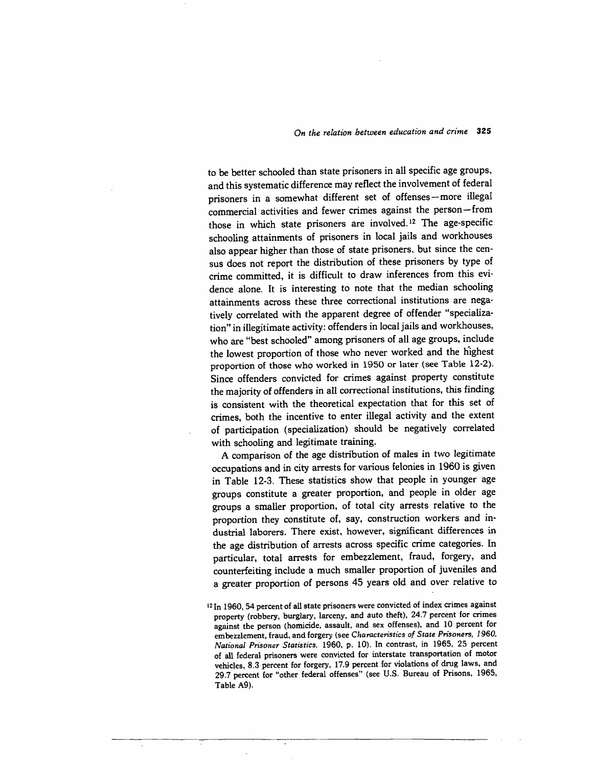to be better schooled than state prisoners in all specific age groups, and this systematic difference may reflect the involvement of federal prisoners in a somewhat different set of offenses —more illegal commercial activities and fewer crimes against the person —from those in which state prisoners are involved.12 The age-specific schooling attainments of prisoners in local jails and workhouses also appear higher than those of state prisoners, but since the census does not report the distribution of these prisoners by type of crime committed, it is difficult to draw inferences from this evidence alone. It is interesting to note that the median schooling attainments across these three correctional institutions are negatively correlated with the apparent degree of offender "specialization" in illegitimate activity: offenders in local jails and workhouses, who are "best schooled" among prisoners of all age groups, include the lowest proportion of those who never worked and the highest proportion of those who worked in 1950 or later (see Table 12-2). Since offenders convicted for crimes against property constitute the majority of offenders in all correctional institutions, this finding is consistent with the theoretical expectation that for this set of crimes, both the incentive to enter illegal activity and the extent of participation (specialization) should be negatively correlated with schooling and legitimate training.

A comparison of the age distribution of males in two legitimate occupations and in city arrests for various felonies in 1960 is given in Table 12-3. These statistics show that people in younger age groups constitute a greater proportion, and people in older age groups a smaller proportion, of total city arrests relative to the proportion they constitute of, say, construction workers and industrial laborers. There exist, however, significant differences in the age distribution of arrests across specific crime categories. In particular, total arrests for embezzlement, fraud, forgery, and counterfeiting include a much smaller proportion of juveniles and a greater proportion of persons 45 years old and over relative to

<sup>&</sup>lt;sup>12</sup> In 1960, 54 percent of all state prisoners were convicted of index crimes against property (robbery, burglary, larceny, and auto theft), 24.7 percent for crimes against the person (homicide, assault, and sex offenses), and 10 percent for embezzlement, fraud, and forgery (see Characteristics of State Prisoners, 1960, National Prisoner Statistics, 1960, p. 10). In contrast, in 1965, 25 percent of all federal prisoners were convicted for interstate transportation of motor vehicles, 8.3 percent for forgery, 17.9 percent for violations of drug laws, and 29.7 percent for "other federal offenses" (see U.S. Bureau of Prisons, 1965, Table A9).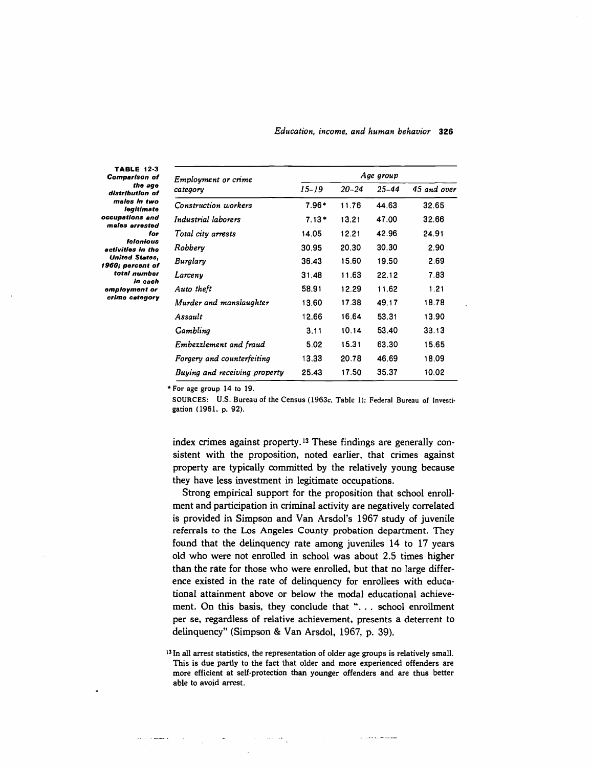TABLE 12-3 Comparison of distribution of males In two legitimate occupations and males arrested for felonious activities in the United States, 1960; percent of total number in each employment or crime category

| Employment or crime           | Age group |           |           |             |  |  |
|-------------------------------|-----------|-----------|-----------|-------------|--|--|
| category                      | $15 - 19$ | $20 - 24$ | $25 - 44$ | 45 and over |  |  |
| Construction workers          | $7.96*$   | 11.76     | 44.63     | 32.65       |  |  |
| Industrial laborers           | $7.13*$   | 13.21     | 47.00     | 32.66       |  |  |
| Total city arrests            | 14.05     | 12.21     | 42.96     | 24.91       |  |  |
| Robbery                       | 30.95     | 20.30     | 30.30     | 2.90        |  |  |
| Burglary                      | 36.43     | 15.60     | 19.50     | 2.69        |  |  |
| Larceny                       | 31.48     | 11.63     | 22.12     | 7.83        |  |  |
| Auto theft                    | 58.91     | 12.29     | 11.62     | 1.21        |  |  |
| Murder and manslaughter       | 13.60     | 17.38     | 49.17     | 18.78       |  |  |
| Assault                       | 12.66     | 16.64     | 53.31     | 13.90       |  |  |
| Gambling                      | 3.11      | 10.14     | 53.40     | 33.13       |  |  |
| Embezzlement and fraud        | 5.02      | 15.31     | 63.30     | 15.65       |  |  |
| Forgery and counterfeiting    | 13.33     | 20.78     | 46.69     | 18.09       |  |  |
| Buying and receiving property | 25.43     | 17.50     | 35.37     | 10.02       |  |  |

\* For age group 14 to 19.

SOURCES: U.S. Bureau of the Census (1963c, Table 1); Federal Bureau of Investigation (1961, p. 92).

index crimes against property.<sup>13</sup> These findings are generally consistent with the proposition, noted earlier, that crimes against property are typically committed by the relatively young because they have less investment in legitimate occupations.

Strong empirical support for the proposition that school enrollment and participation in criminal activity are negatively correlated is provided in Simpson and Van Arsdol's 1967 study of juvenile referrals to the Los Angeles County probation department. They found that the delinquency rate among juveniles 14 to 17 years old who were not enrolled in school was about 2.5 times higher than the rate for those who were enrolled, but that no large difference existed in the rate of delinquency for enrollees with educational attainment above or below the modal educational achievement. On this basis, they conclude that "... school enrollment per se, regardless of relative achievement, presents a deterrent to delinquency" (Simpson & Van Arsdol, 1967, p. 39).

<sup>13</sup> In all arrest statistics, the representation of older age groups is relatively small. This is due partly to the fact that older and more experienced offenders are more efficient at self-protection than younger offenders and are thus better able to avoid arrest.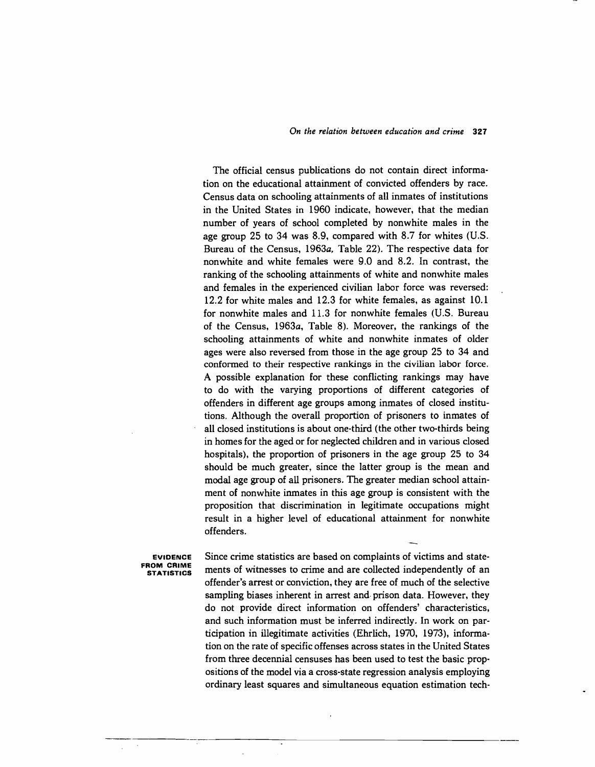The official census publications do not contain direct information on the educational attainment of convicted offenders by race. Census data on schooling attainments of all inmates of institutions in the United States in 1960 indicate, however, that the median number of years of school completed by nonwhite males in the age group 25 to 34 was 8.9, compared with 8.7 for whites (U.S. Bureau of the Census, 1963a, Table 22). The respective data for nonwhite and white females were 9.0 and 8.2. In contrast, the ranking of the schooling attainments of white and nonwhite males and females in the experienced civilian labor force was reversed: 12.2 for white males and 12.3 for white females, as against 10.1 for nonwhite males and 11.3 for nonwhite females (U.S. Bureau of the Census, 1963a, Table 8). Moreover, the rankings of the schooling attainments of white and nonwhite inmates of older ages were also reversed from those in the age group 25 to 34 and conformed to their respective rankings in the civilian labor force. A possible explanation for these conflicting rankings may have to do with the varying proportions of different categories of offenders in different age groups among inmates of closed institutions. Although the overall proportion of prisoners to inmates of all closed institutions is about one-third (the other two-thirds being in homes for the aged or for neglected children and in various closed hospitals), the proportion of prisoners in the age group 25 to 34 should be much greater, since the latter group is the mean and modal age group of all prisoners. The greater median school attainment of nonwhite inmates in this age group is consistent with the proposition that discrimination in legitimate occupations might result in a higher level of educational attainment for nonwhite offenders.

FROM CRIME<br>STATISTICS

EVIDENCE Since crime statistics are based on complaints of victims and statements of witnesses to crime and are collected independently of an offender's arrest or conviction, they are free of much of the selective sampling biases inherent in arrest and prison data. However, they do not provide direct information on offenders' characteristics, and such information must be inferred indirectly. In work on participation in illegitimate activities (Ehrlich, 1970, 1973), information on the rate of specific offenses across states in the United States from three decennial censuses has been used to test the basic propositions of the model via a cross-state regression analysis employing ordinary least squares and simultaneous equation estimation tech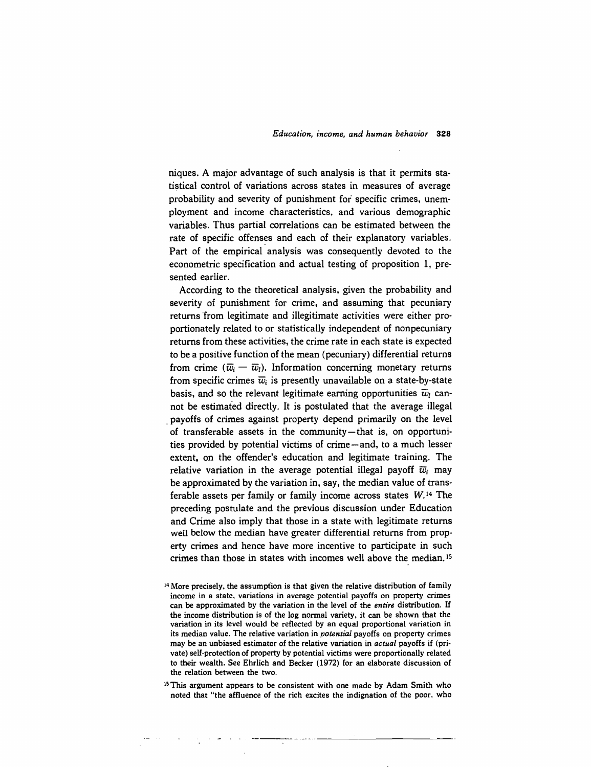niques. A major advantage of such analysis is that it permits statistical control of variations across states in measures of average probability and severity of punishment for specific crimes, unemployment and income characteristics, and various demographic variables. Thus partial correlations can be estimated between the rate of specific offenses and each of their explanatory variables. Part of the empirical analysis was consequently devoted to the econometric specification and actual testing of proposition 1, presented earlier.

According to the theoretical analysis, given the probability and severity of punishment for crime, and assuming that pecuniary returns from legitimate and illegitimate activities were either proportionately related to or statistically independent of nonpecuniary returns from these activities, the crime rate in each state is expected to be a positive function of the mean (pecuniary) differential returns from crime  $(\overline{w}_i - \overline{w}_i)$ . Information concerning monetary returns from specific crimes  $\overline{w_i}$  is presently unavailable on a state-by-state basis, and so the relevant legitimate earning opportunities  $\overline{w}_l$  cannot be estimated directly. It is postulated that the average illegal • payoffs of crimes against property depend primarily on the level of transferable assets in the community — that is, on opportunities provided by potential victims of crime —and, to a much lesser extent, on the offender's education and legitimate training. The relative variation in the average potential illegal payoff  $\overline{w}_i$  may be approximated by the variation in, say, the median value of transferable assets per family or family income across states  $W$ .<sup>14</sup> The preceding postulate and the previous discussion under Education and Crime also imply that those in a state with legitimate returns well below the median have greater differential returns from property crimes and hence have more incentive to participate in such crimes than those in states with incomes well above the median.'5

<sup>15</sup> This argument appears to be consistent with one made by Adam Smith who noted that "the affluence of the rich excites the indignation of the poor, who

<sup>&</sup>lt;sup>14</sup> More precisely, the assumption is that given the relative distribution of family income in a state, variations in average potential payoffs on property crimes can be approximated by the variation in the level of the entire distribution. If the income distribution is of the log normal variety, it can be shown that the variation in its level would be reflected by an equal proportional variation in its median value. The relative variation in potential payoffs on property crimes may be an unbiased estimator of the relative variation in actual payoffs if (private) self-protection of property by potential victims were proportionally related to their wealth. See Ehrlich and Becker (1972) for an elaborate discussion of the relation between the two.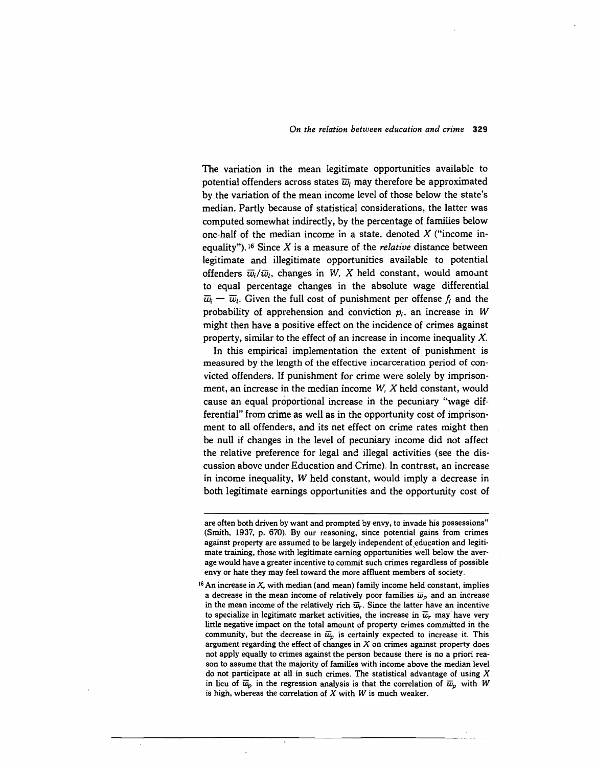The variation in the mean legitimate opportunities available to potential offenders across states  $\overline{w}$ , may therefore be approximated by the variation of the mean income level of those below the state's median. Partly because of statistical considerations, the latter was computed somewhat indirectly, by the percentage of families below one-half of the median income in a state, denoted  $X$  ("income inequality").<sup>16</sup> Since X is a measure of the *relative* distance between legitimate and illegitimate opportunities available to potential offenders  $\overline{w}_i/\overline{w}_i$ , changes in W, X held constant, would amount to equal percentage changes in the absolute wage differential  $\overline{w}_i - \overline{w}_i$ . Given the full cost of punishment per offense  $f_i$  and the probability of apprehension and conviction  $p_i$ , an increase in W might then have a positive effect on the incidence of crimes against property, similar to the effect of an increase in income inequality  $X$ .

In this empirical implementation the extent of punishment is measured by the length of the effective incarceration period of convicted offenders. If punishment for crime were solely by imprisonment, an increase in the median income W, X held constant, would cause an equal proportional increase in the pecuniary "wage differential" from crime as well as in the opportunity cost of imprisonment to all offenders, and its net effect on crime rates might then be null if changes in the level of pecuniary income did not affect the relative preference for legal and illegal activities (see the discussion above under Education and Crime). In contrast, an increase in income inequality, W held constant, would imply a decrease in both legitimate earnings opportunities and the opportunity cost of

are often both driven by want and prompted by envy, to invade his possessions" (Smith, 1937, p. 670). By our reasoning, since potential gains from crimes against property are assumed to be largely independent of education and legitimate training, those with legitimate earning opportunities well below the average would have a greater incentive to commit such crimes regardless of possible envy or hate they may feel toward the more affluent members of society.

<sup>&</sup>lt;sup>16</sup> An increase in X, with median (and mean) family income held constant, implies a decrease in the mean income of relatively poor families  $\bar{w}_p$  and an increase in the mean income of the relatively rich  $\overline{w}$ . Since the latter have an incentive to specialize in legitimate market activities, the increase in  $\overline{w}_r$  may have very little negative impact on the total amount of property crimes committed in the community, but the decrease in  $\overline{w}_p$  is certainly expected to increase it. This argument regarding the effect of changes in  $X$  on crimes against property does not apply equally to crimes against the person because there is no a priori reason to assume that the majority of families with income above the median level do not participate at all in such crimes. The statistical advantage of using  $X$ in lieu of  $\bar{w}_p$  in the regression analysis is that the correlation of  $\bar{w}_p$  with W is high, whereas the correlation of  $X$  with  $W$  is much weaker.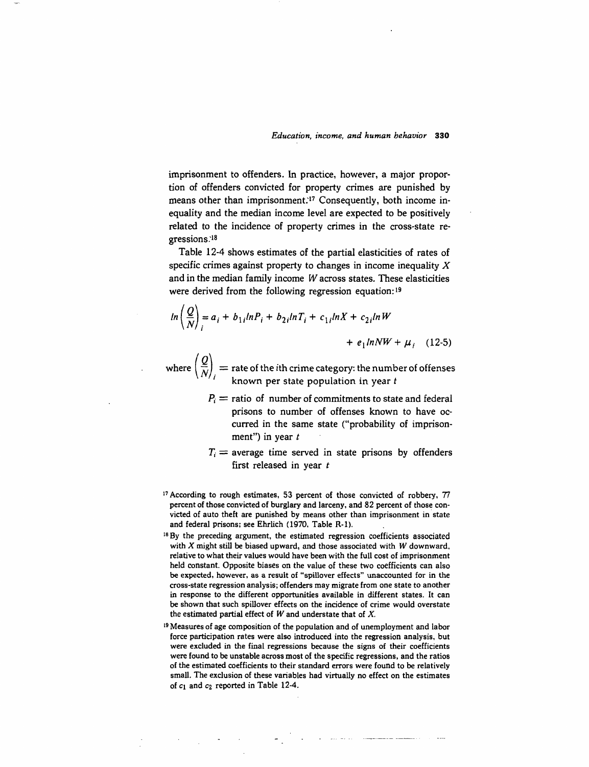imprisonment to offenders. In practice, however, a major proportion of offenders convicted for property crimes are punished by means other than imprisonment.<sup>17</sup> Consequently, both income inequality and the median income level are expected to be positively related to the incidence of property crimes in the cross-state regressions.<sup>18</sup>

Table 12-4 shows estimates of the partial elasticities of rates of specific crimes against property to changes in income inequality  $X$ and in the median family income W across states. These elasticities were derived from the following regression equation:<sup>19</sup>

$$
ln\left(\frac{Q}{N}\right) = a_i + b_{1i}lnP_i + b_{2i}lnT_i + c_{1i}lnX + c_{2i}lnW + e_1lnNW + \mu_i \quad (12-5)
$$

where  $\left(\frac{z}{M}\right)$  = rate of the ith crime category: the number of offenses known per state population in year t

- $P_i$  = ratio of number of commitments to state and federal prisons to number of offenses known to have occurred in the same state ("probability of imprisonment") in year  $t$
- $T_i$  = average time served in state prisons by offenders first released in year t
- <sup>17</sup> According to rough estimates, 53 percent of those convicted of robbery, 77 percent of those convicted of burglary and larceny, and 82 percent of those convicted of auto theft are punished by means other than imprisonment in state and federal prisons; see Ehrlich (1970, Table R-1).
- <sup>18</sup> By the preceding argument, the estimated regression coefficients associated with  $X$  might still be biased upward, and those associated with  $W$  downward, relative to what their values would have been with the full cost of imprisonment held constant. Opposite biases on the value of these two coefficients can also be expected, however, as a result of "spillover effects" unaccounted for in the cross-state regression analysis; offenders may migrate from one state to another in response to the different opportunities available in different states. It can be shown that such spillover effects on the incidence of crime would overstate the estimated partial effect of  $W$  and understate that of  $X$ .
- '9Measures of age composition of the population and of unemployment and labor force participation rates were also introduced into the regression analysis, but were excluded in the final regressions because the signs of their coefficients were found to be unstable across most of the specific regressions, and the ratios of the estimated coefficients to their standard errors were found to be relatively small. The exclusion of these variables had virtually no effect on the estimates of  $c_1$  and  $c_2$  reported in Table 12-4.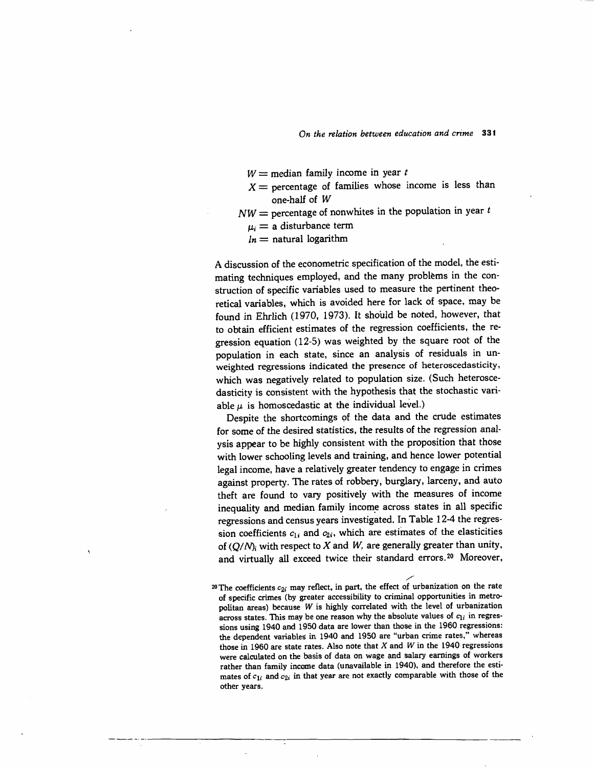$W =$  median family income in year t

- $X =$  percentage of families whose income is less than one-half of W
- $NW =$  percentage of nonwhites in the population in year  $t$ 
	- $u_i = a$  disturbance term
	- $in =$  natural logarithm

A discussion of the econometric specification of the model, the estimating techniques employed, and the many problems in the construction of specific variables used to measure the pertinent theoretical variables, which is avoided here for lack of space, may be found in Ehrlich (1970, 1973). It should be noted, however, that to obtain efficient estimates of the regression coefficients, the regression equation (12-5) was weighted by the square root of the population in each state, since an analysis of residuals in Unweighted regressions indicated the presence of heteroscedasticity, which was negatively related to population size. (Such heteroscedasticity is consistent with the hypothesis that the stochastic variable  $\mu$  is homoscedastic at the individual level.)

Despite the shortcomings of the data and the crude estimates for some of the desired statistics, the results of the regression analysis appear to be highly consistent with the proposition that those with lower schooling levels and training, and hence lower potential legal income, have a relatively greater tendency to engage in crimes against property. The rates of robbery, burglary, larceny, and auto theft are found to vary positively with the measures of income inequality and median family income across states in all specific regressions and census years investigated. In Table 12-4 the regression coefficients  $c_{1i}$  and  $c_{2i}$ , which are estimates of the elasticities of  $\langle O/N \rangle$  with respect to X and W, are generally greater than unity, and virtually all exceed twice their standard errors.2° Moreover,

<sup>&</sup>lt;sup>20</sup> The coefficients  $c_{2i}$  may reflect, in part, the effect of urbanization on the rate of specific crimes (by greater accessibility to criminal opportunities in metropolitan areas) because W is highly correlated with the level of urbanization across states. This may be one reason why the absolute values of  $c_{1i}$  in regressions using 1940 and 1950 data are lower than those in the 1960 regressions: the dependent variables in 1940 and 1950 are "urban crime rates," whereas those in 1960 are state rates. Also note that  $X$  and  $W$  in the 1940 regressions were calculated on the basis of data on wage and salary earnings of workers rather than family income data (unavailable in 1940), and therefore the estimates of  $c_{1i}$  and  $c_{2i}$  in that year are not exactly comparable with those of the other years.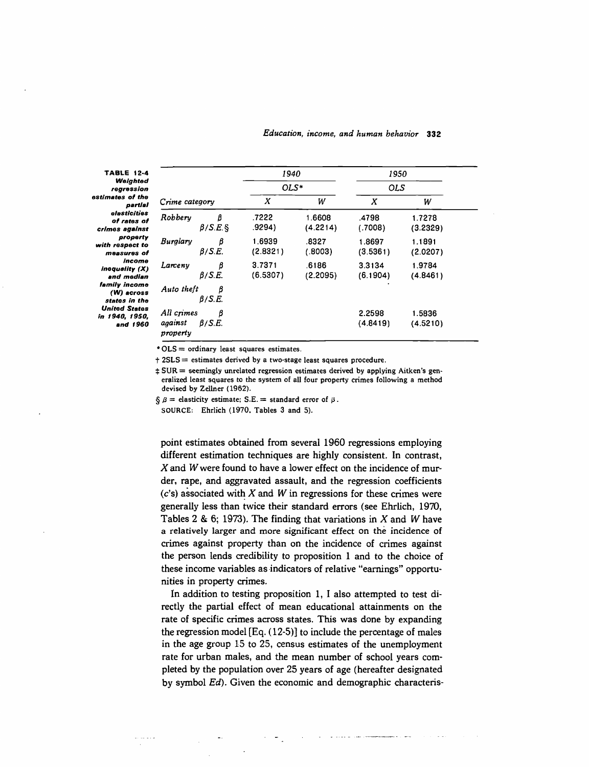TABLE 12.4 **Weighted** regression estimates of the partial elasticities of rates of crimes agains property with respect to measures of income Inequality (X) and median family income (W) across states in the United States in 1940, 1950, and 1960

|                                                   | 1940               |                    | 1950               |                    |
|---------------------------------------------------|--------------------|--------------------|--------------------|--------------------|
|                                                   | $OLS*$             |                    | <b>OLS</b>         |                    |
| Crime category                                    | X                  | W                  | X                  | w                  |
| Robbery<br>₿<br>$\beta$ /S.E.S.                   | .7222<br>.9294)    | 1.6608<br>(4.2214) | 4798<br>(.7008)    | 1.7278<br>(3.2329) |
| Burglary<br>β<br>$\beta$ /S.E.                    | 1.6939<br>(2.8321) | .8327<br>(.8003)   | 1.8697<br>(3.5361) | 1.1891<br>(2.0207) |
| β<br>Larceny<br>$\beta$ /S.E.                     | 3.7371<br>(6.5307) | .6186<br>(2.2095)  | 3.3134<br>(6.1904) | 1.9784<br>(4.8461) |
| Auto theft<br>β<br>B/S.E.                         |                    |                    |                    |                    |
| All crimes<br>β<br>B/ S.E.<br>against<br>property |                    |                    | 2.2598<br>(4.8419) | 1.5836<br>(4.5210) |

\* OLS = ordinary least squares estimates.

 $f$  2SLS = estimates derived by a two-stage least squares procedure.

 $\pm$  SUR = seemingly unrelated regression estimates derived by applying Aitken's generalized least squares to the system of all four property crimes following a method devised by Zeilner (1962).

 $\S$   $\beta$  = elasticity estimate; S.E. = standard error of  $\beta$ . SOURCE: Ehrlich (1970, Tables 3 and 5).

point estimates obtained from several 1960 regressions employing different estimation techniques are highly consistent. In contrast, X and W were found to have a lower effect on the incidence of murder, rape, and aggravated assault, and the regression coefficients  $(c's)$  associated with X and W in regressions for these crimes were generally less than twice their standard errors (see Ehrlich, 1970, Tables 2 & 6; 1973). The finding that variations in X and W have a relatively larger and more significant effect on the incidence of crimes against property than on the incidence of crimes against the person lends credibility to proposition 1 and to the choice of these income variables as indicators of relative "earnings" opportunities in property crimes.

In addition to testing proposition 1, I also attempted to test directly the partial effect of mean educational attainments on the rate of specific crimes across states. This was done by expanding the regression model  $[Eq. (12-5)]$  to include the percentage of males in the age group 15 to 25, census estimates of the unemployment rate for urban males, and the mean number of school years completed by the population over 25 years of age (hereafter designated by symbol  $Ed$ ). Given the economic and demographic characteris-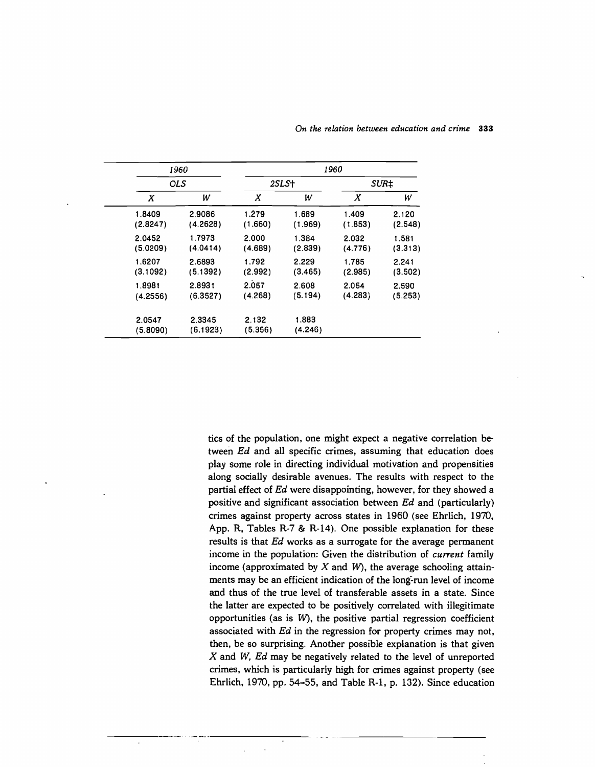|  | 1960<br><b>OLS</b> |                    | 1960             |                  |                  |         |  |
|--|--------------------|--------------------|------------------|------------------|------------------|---------|--|
|  |                    |                    | 2SLS+            |                  | SUR <sub>‡</sub> |         |  |
|  | X                  | w                  | X                | w                | Χ                | w       |  |
|  | 1.8409             | 2.9086             | 1.279            | 1.689            | 1.409            | 2.120   |  |
|  | (2.8247)           | (4.2628)           | (1.660)          | (1.969)          | (1.853)          | (2.548) |  |
|  | 2.0452             | 1.7973             | 2.000            | 1.384            | 2.032            | 1.581   |  |
|  | (5.0209)           | (4.0414)           | (4.689)          | (2.839)          | (4.776)          | (3.313) |  |
|  | 1.6207             | 2.6893             | 1.792            | 2.229            | 1.785            | 2.241   |  |
|  | (3.1092)           | (5.1392)           | (2.992)          | (3.465)          | (2.985)          | (3.502) |  |
|  | 1.8981             | 2.8931             | 2.057            | 2.608            | 2.054            | 2.590   |  |
|  | (4.2556)           | (6.3527)           | (4.268)          | (5.194)          | (4.283)          | (5.253) |  |
|  | 2.0547<br>(5.8090) | 2.3345<br>(6.1923) | 2.132<br>(5.356) | 1.883<br>(4.246) |                  |         |  |

tics of the population, one might expect a negative correlation between Ed and all specific crimes, assuming that education does play some role in directing individual motivation and propensities along socially desirable avenues. The results with respect to the partial effect of Ed were disappointing, however, for they showed a positive and significant association between  $Ed$  and (particularly) crimes against property across states in 1960 (see Ehrlich, 1970, App. R, Tables R-7 & R-14). One possible explanation for these results is that Ed works as a surrogate for the average permanent income in the population: Given the distribution of current family income (approximated by  $X$  and  $W$ ), the average schooling attainments may be an efficient indication of the long-run level of income and thus of the true level of transferable assets in a state. Since the latter are expected to be positively correlated with illegitimate opportunities (as is W), the positive partial regression coefficient associated with  $Ed$  in the regression for property crimes may not, then, be so surprising. Another possible explanation is that given X and W, Ed may be negatively related to the level of unreported crimes, which is particularly high for crimes against property (see Ehrlich, 1970, pp. 54—55, and Table R-1, p. 132). Since education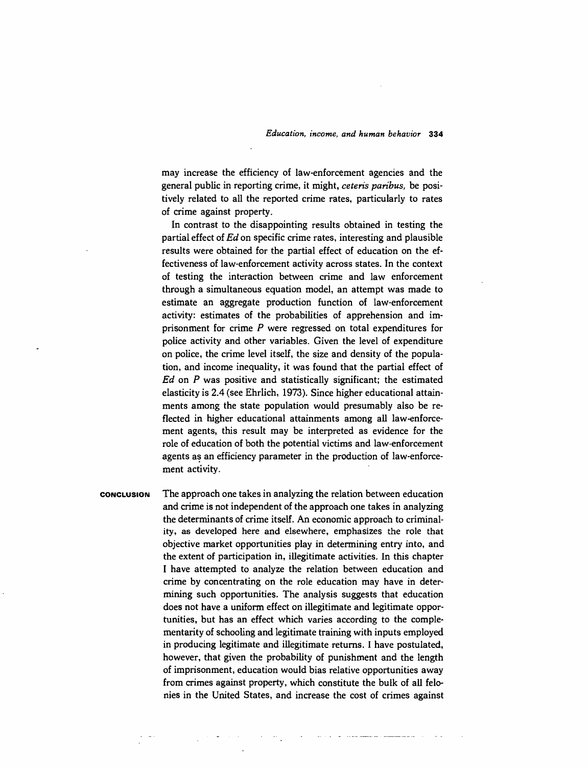may increase the efficiency of law-enforcement agencies and the general public in reporting crime, it might, ceteris paribus, be positively related to all the reported crime rates, particularly to rates of crime against property.

In contrast to the disappointing results obtained in testing the partial effect of Ed on specific crime rates, interesting and plausible results were obtained for the partial effect of education on the effectiveness of law-enforcement activity across states. In the context of testing the interaction between crime and law enforcement through a simultaneous equation model, an attempt was made to estimate an aggregate production function of law-enforcement activity: estimates of the probabilities of apprehension and imprisonment for crime P were regressed on total expenditures for police activity and other variables. Given the level of expenditure on police, the crime level itself, the size and density of the population, and income inequality, it was found that the partial effect of  $Ed$  on  $P$  was positive and statistically significant; the estimated elasticity is 2.4 (see Ehrlich, 1973). Since higher educational attainments among the state population would presumably also be reflected in higher educational attainments among all law-enforcement agents, this result may be interpreted as evidence for the role of education of both the potential victims and law-enforcement agents as an efficiency parameter in the production of law-enforcement activity.

CONCLUSION The approach one takes in analyzing the relation between education and crime is not independent of the approach one takes in analyzing the determinants of crime itself. An economic approach to criminality, as developed here and elsewhere, emphasizes the role that objective market opportunities play in determining entry into, and the extent of participation in, illegitimate activities. In this chapter I have attempted to analyze the relation between education and crime by concentrating on the role education may have in determining such opportunities. The analysis suggests that education does not have a uniform effect on illegitimate and legitimate opportunities, but has an effect which varies according to the complementarity of schooling and legitimate training with inputs employed in producing legitimate and illegitimate returns. I have postulated, however, that given the probability of punishment and the length of imprisonment, education would bias relative opportunities away from crimes against property, which constitute the bulk of all felonies in the United States, and increase the cost of crimes against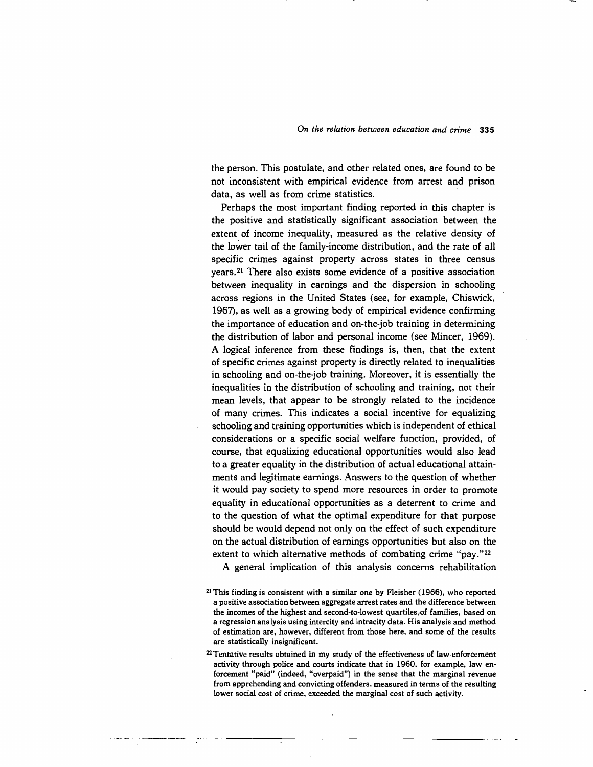the person. This postulate, and other related ones, are found to be not inconsistent with empirical evidence from arrest and prison data, as well as from crime statistics.

Perhaps the most important finding reported in this chapter is the positive and statistically significant association between the extent of income inequality, measured as the relative density of the lower tail of the family-income distribution, and the rate of all specific crimes against property across states in three census years.2' There also exists some evidence of a positive association between inequality in earnings and the dispersion in schooling across regions in the United States (see, for example, Chiswick, 1967), as well as a growing body of empirical evidence confirming the importance of education and on-the-job training in determining the distribution of labor and personal income (see Mincer, 1969). A logical inference from these findings is, then, that the extent of specific crimes against property is directly related to inequalities in schooling and on-the-job training. Moreover, it is essentially the inequalities in the distribution of schooling and training, not their mean levels, that appear to be strongly related to the incidence of many crimes. This indicates a social incentive for equalizing schooling and training opportunities which is independent of ethical considerations or a specific social welfare function, provided, of course, that equalizing educational opportunities would also lead to a greater equality in the distribution of actual educational attainments and legitimate earnings. Answers to the question of whether it would pay society to spend more resources in order to promote equality in educational opportunities as a deterrent to crime and to the question of what the optimal expenditure for that purpose should be would depend not only on the effect of such expenditure on the actual distribution of earnings opportunities but also on the extent to which alternative methods of combating crime "pay."<sup>22</sup>

A general implication of this analysis concerns rehabilitation

<sup>21</sup> This finding is consistent with a similar one by Fleisher (1966), who reported a positive association between aggregate arrest rates and the difference between the incomes of the highest and second-to-lowest quartiles, of families, based on a regression analysis using intercity and intracity data. His analysis and method of estimation are, however, different from those here, and some of the results are statistically insignificant.

<sup>22</sup> Tentative results obtained in my study of the effectiveness of law-enforcement activity through police and courts indicate that in 1960, for example, law enforcement "paid" (indeed, "overpaid") in the sense that the marginal revenue from apprehending and convicting offenders, measured in terms of the resulting lower social cost of crime, exceeded the marginal cost of such activity.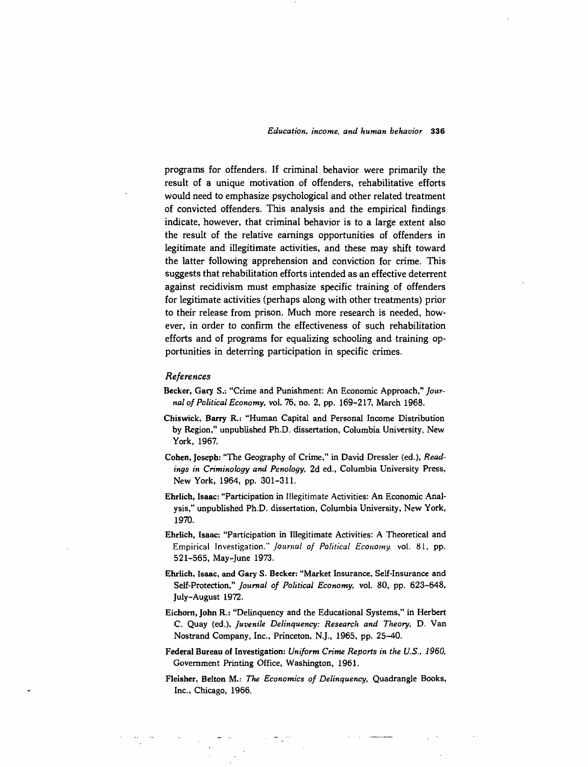programs for offenders. If criminal behavior were primarily the result of a unique motivation of offenders, rehabilitative efforts would need to emphasize psychological and other related treatment of convicted offenders. This analysis and the empirical findings indicate, however, that criminal behavior is to a large extent also the result of the relative earnings opportunities of offenders in legitimate and illegitimate activities, and these may shift toward the latter following apprehension and conviction for crime. This suggests that rehabilitation efforts intended as an effective deterrent against recidivism must emphasize specific training of offenders for legitimate activities (perhaps along with other treatments) prior to their release from prison. Much more research is needed, however, in order to confirm the effectiveness of such rehabilitation efforts and of programs for equalizing schooling and training opportunities in deterring participation in specific crimes.

## References

- Becker, Gary S.: "Crime and Punishment: An Economic Approach," Journal of Political Economy, vol. 76, no. 2, pp. 169—2 17, March 1968.
- Chiswick, Barry R.: "Human Capital and Personal Income Distribution by Region," unpublished Ph.D. dissertation, Columbia University, New York, 1967.
- Cohen, Joseph: "The Geography of Crime," in David Dressier (ed.), Readings in Criminology and Penology, 2d ed., Columbia University Press, New York, 1964, pp. 301-311.
- Ehrlich, Isaac: "Participation in Illegitimate Activities: An Economic Analysis," unpublished Ph.D. dissertation, Columbia University, New York, 1970.
- Ehrlich, Isaac: "Participation in Illegitimate Activities: A Theoretical and Empirical Investigation." Journal of Political Economy, vol. 81, pp. 521—565, May—June 1973.
- Ehrlich, Isaac, and Gary S. Becker: "Market Insurance, Self-Insurance and Self-Protection," Journal of Political Economy, vol. 80, pp. 623—648, July—August 1972.
- Eichorn, John R.: "Delinquency and the Educational Systems," in Herbert C. Quay (ed.), Juvenile Delinquency: Research and Theory, D. Van Nostrand Company, Inc., Princeton, N.J., 1965, pp. 25-40.
- Federal Bureau of Investigation: Uniform Crime Reports in the U.S., 1960, Government Printing Office, Washington, 1961.
- Fleisher, Belton M.: The Economics of Delinquency, Quadrangle Books, Inc., Chicago, 1966.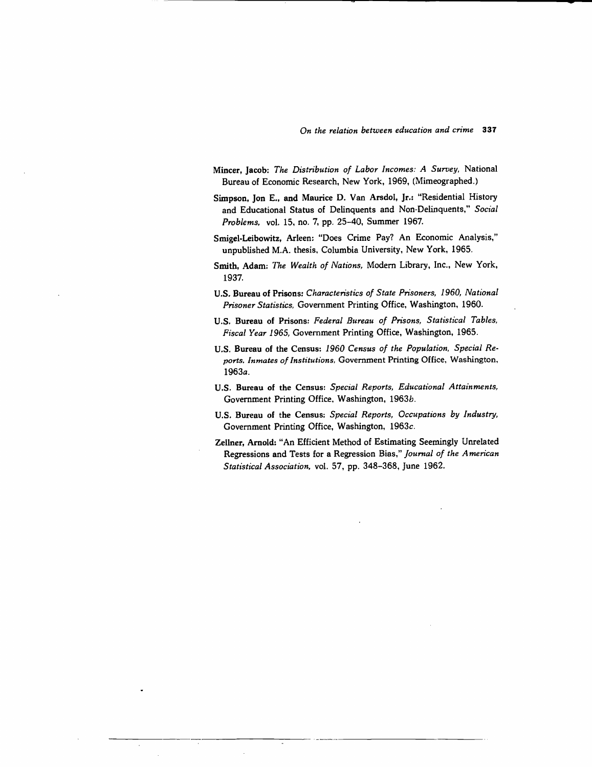- Mincer, Jacob: The Distribution of Labor Incomes: A Survey, National Bureau of Economic Research, New York, 1969, (Mimeographed.)
- Simpson, Jon E., and Maurice D. Van Arsdol, Jr.: "Residential History and Educational Status of Delinquents and Non-Delinquents," Social Problems, vol. 15, no. 7, pp. 25—40, Summer 1967.
- Smigel-Leibowitz, Arleen: "Does Crime Pay? An Economic Analysis," unpublished M.A. thesis, Columbia University, New York, 1965.
- Smith, Adam; The Wealth of Nations, Modern Library, Inc., New York, 1937.
- U.S. Bureau of Prisons: Characteristics of State Prisoners, 1960, National Prisoner Statistics, Government Printing Office, Washington, 1960.
- U.S. Bureau of Prisons: Federal Bureau of Prisons, Statistical Tables, Fiscal Year 1965, Government Printing Office, Washington, 1965.
- U.S. Bureau of the Census: 1960 Census of the Population, Special Reports. Inmates of Institutions, Government Printing Office, Washington, 1963a.
- U.S. Bureau of the Census: Special Reports, Educational Attainments, Government Printing Office, Washington, 1963b.
- U.S. Bureau of the Census: Special Reports, Occupations by Industry, Government Printing Office, Washington, 1963c.
- Zeilner, Arnold: "An Efficient Method of Estimating Seemingly Unrelated Regressions and Tests for a Regression Bias," Journal of the American Statistical Association, vol. 57, pp. 348—368, June 1962.